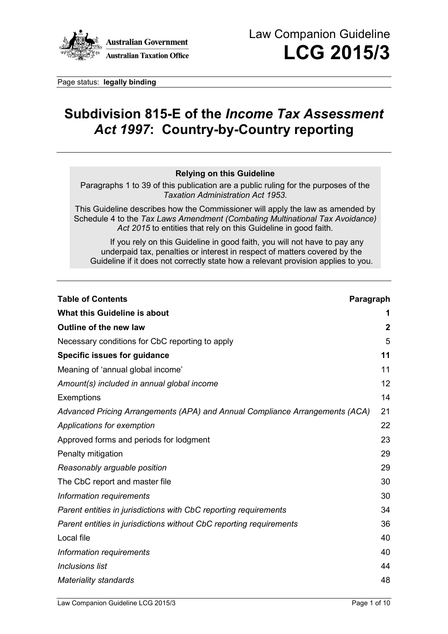

Page status: **legally binding**

# **Subdivision 815-E of the** *Income Tax Assessment Act 1997***: Country-by-Country reporting**

#### **Relying on this Guideline**

Paragraphs 1 to 39 of this publication are a public ruling for the purposes of the *Taxation Administration Act 1953*.

This Guideline describes how the Commissioner will apply the law as amended by Schedule 4 to the *Tax Laws Amendment (Combating Multinational Tax Avoidance) Act 2015* to entities that rely on this Guideline in good faith.

If you rely on this Guideline in good faith, you will not have to pay any underpaid tax, penalties or interest in respect of matters covered by the Guideline if it does not correctly state how a relevant provision applies to you.

| <b>Table of Contents</b><br>Paragraph                                        |             |
|------------------------------------------------------------------------------|-------------|
| What this Guideline is about                                                 | 1           |
| Outline of the new law                                                       | $\mathbf 2$ |
| Necessary conditions for CbC reporting to apply                              | 5           |
| <b>Specific issues for guidance</b>                                          | 11          |
| Meaning of 'annual global income'                                            | 11          |
| Amount(s) included in annual global income                                   | 12          |
| Exemptions                                                                   | 14          |
| Advanced Pricing Arrangements (APA) and Annual Compliance Arrangements (ACA) | 21          |
| Applications for exemption                                                   | 22          |
| Approved forms and periods for lodgment                                      | 23          |
| Penalty mitigation                                                           | 29          |
| Reasonably arguable position                                                 | 29          |
| The CbC report and master file                                               | 30          |
| Information requirements                                                     | 30          |
| Parent entities in jurisdictions with CbC reporting requirements             | 34          |
| Parent entities in jurisdictions without CbC reporting requirements          | 36          |
| Local file                                                                   | 40          |
| Information requirements                                                     | 40          |
| <b>Inclusions list</b>                                                       | 44          |
| <b>Materiality standards</b>                                                 | 48          |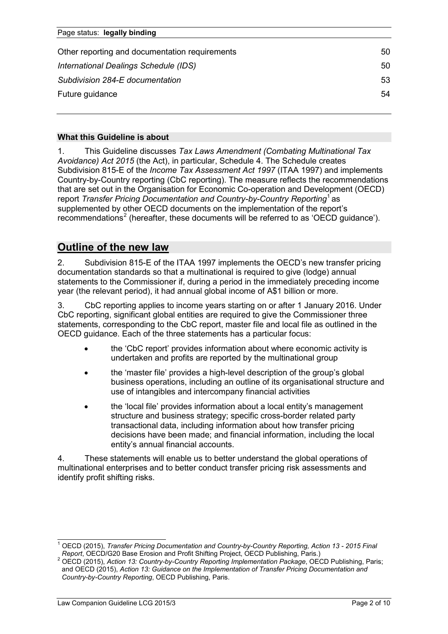| Page status: legally binding                   |    |  |
|------------------------------------------------|----|--|
| Other reporting and documentation requirements | 50 |  |
| International Dealings Schedule (IDS)          | 50 |  |
| Subdivision 284-E documentation                | 53 |  |
| Future guidance                                | 54 |  |
|                                                |    |  |

#### **What this Guideline is about**

1. This Guideline discusses *Tax Laws Amendment (Combating Multinational Tax Avoidance) Act 2015* (the Act), in particular, Schedule 4. The Schedule creates Subdivision 815-E of the *Income Tax Assessment Act 1997* (ITAA 1997) and implements Country-by-Country reporting (CbC reporting). The measure reflects the recommendations that are set out in the Organisation for Economic Co-operation and Development (OECD) report *Transfer Pricing Documentation and Country-by-Country Reporting*[1](#page-1-0) as supplemented by other OECD documents on the implementation of the report's recommendations<sup>[2](#page-1-1)</sup> (hereafter, these documents will be referred to as 'OECD guidance').

# **Outline of the new law**

2. Subdivision 815-E of the ITAA 1997 implements the OECD's new transfer pricing documentation standards so that a multinational is required to give (lodge) annual statements to the Commissioner if, during a period in the immediately preceding income year (the relevant period), it had annual global income of A\$1 billion or more.

3. CbC reporting applies to income years starting on or after 1 January 2016. Under CbC reporting, significant global entities are required to give the Commissioner three statements, corresponding to the CbC report, master file and local file as outlined in the OECD guidance. Each of the three statements has a particular focus:

- the 'CbC report' provides information about where economic activity is undertaken and profits are reported by the multinational group
- the 'master file' provides a high-level description of the group's global business operations, including an outline of its organisational structure and use of intangibles and intercompany financial activities
- the 'local file' provides information about a local entity's management structure and business strategy; specific cross-border related party transactional data, including information about how transfer pricing decisions have been made; and financial information, including the local entity's annual financial accounts.

4. These statements will enable us to better understand the global operations of multinational enterprises and to better conduct transfer pricing risk assessments and identify profit shifting risks.

<span id="page-1-0"></span><sup>1</sup> OECD (2015), *Transfer Pricing Documentation and Country-by-Country Reporting, Action 13 - 2015 Final*   $\overline{a}$ 

<span id="page-1-1"></span>*Report*, OECD/G20 Base Erosion and Profit Shifting Project, OECD Publishing, Paris.) <sup>2</sup> OECD (2015), *Action 13: Country-by-Country Reporting Implementation Package*, OECD Publishing, Paris; and OECD (2015), *Action 13: Guidance on the Implementation of Transfer Pricing Documentation and Country-by-Country Reporting*, OECD Publishing, Paris.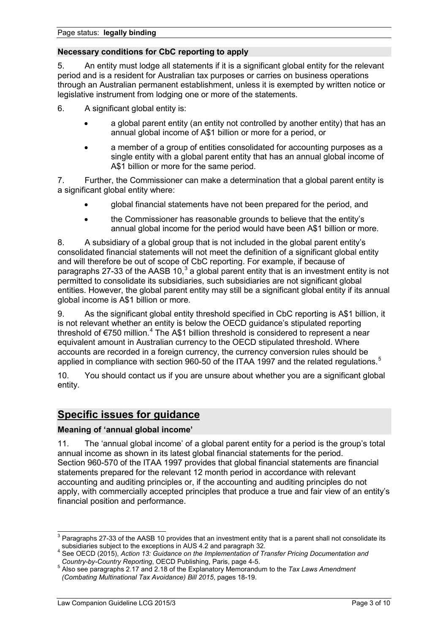# **Necessary conditions for CbC reporting to apply**

5. An entity must lodge all statements if it is a significant global entity for the relevant period and is a resident for Australian tax purposes or carries on business operations through an Australian permanent establishment, unless it is exempted by written notice or legislative instrument from lodging one or more of the statements.

6. A significant global entity is:

- a global parent entity (an entity not controlled by another entity) that has an annual global income of A\$1 billion or more for a period, or
- a member of a group of entities consolidated for accounting purposes as a single entity with a global parent entity that has an annual global income of A\$1 billion or more for the same period.

7. Further, the Commissioner can make a determination that a global parent entity is a significant global entity where:

- global financial statements have not been prepared for the period, and
- the Commissioner has reasonable grounds to believe that the entity's annual global income for the period would have been A\$1 billion or more.

8. A subsidiary of a global group that is not included in the global parent entity's consolidated financial statements will not meet the definition of a significant global entity and will therefore be out of scope of CbC reporting. For example, if because of paragraphs 27-[3](#page-2-0)3 of the AASB 10,<sup>3</sup> a global parent entity that is an investment entity is not permitted to consolidate its subsidiaries, such subsidiaries are not significant global entities. However, the global parent entity may still be a significant global entity if its annual global income is A\$1 billion or more.

9. As the significant global entity threshold specified in CbC reporting is A\$1 billion, it is not relevant whether an entity is below the OECD guidance's stipulated reporting threshold of  $\epsilon$ 750 million.<sup>[4](#page-2-1)</sup> The A\$1 billion threshold is considered to represent a near equivalent amount in Australian currency to the OECD stipulated threshold. Where accounts are recorded in a foreign currency, the currency conversion rules should be applied in compliance with section 960-[5](#page-2-2)0 of the ITAA 1997 and the related regulations.<sup>5</sup>

10. You should contact us if you are unsure about whether you are a significant global entity.

# **Specific issues for guidance**

# **Meaning of 'annual global income'**

11. The 'annual global income' of a global parent entity for a period is the group's total annual income as shown in its latest global financial statements for the period. Section 960-570 of the ITAA 1997 provides that global financial statements are financial statements prepared for the relevant 12 month period in accordance with relevant accounting and auditing principles or, if the accounting and auditing principles do not apply, with commercially accepted principles that produce a true and fair view of an entity's financial position and performance.

<span id="page-2-0"></span> $\overline{\text{3}}$  Paragraphs 27-33 of the AASB 10 provides that an investment entity that is a parent shall not consolidate its subsidiaries subject to the exceptions in AUS 4.2 and paragraph 32.

<span id="page-2-1"></span>See OECD (2015), *Action 13: Guidance on the Implementation of Transfer Pricing Documentation and Country-by-Country Reporting, OECD Publishing, Paris, page 4-5.* 

<span id="page-2-2"></span>*Country-by-Country Reporting*, OECD Publishing, Paris, page 4-5. 5 Also see paragraphs 2.17 and 2.18 of the Explanatory Memorandum to the *Tax Laws Amendment (Combating Multinational Tax Avoidance) Bill 2015*, pages 18-19.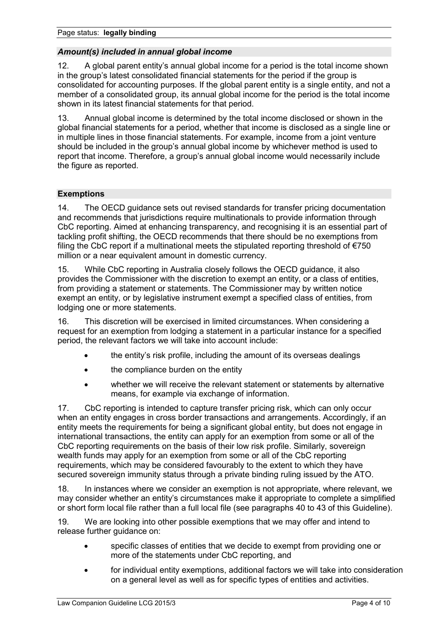# *Amount(s) included in annual global income*

12. A global parent entity's annual global income for a period is the total income shown in the group's latest consolidated financial statements for the period if the group is consolidated for accounting purposes. If the global parent entity is a single entity, and not a member of a consolidated group, its annual global income for the period is the total income shown in its latest financial statements for that period.

13. Annual global income is determined by the total income disclosed or shown in the global financial statements for a period, whether that income is disclosed as a single line or in multiple lines in those financial statements. For example, income from a joint venture should be included in the group's annual global income by whichever method is used to report that income. Therefore, a group's annual global income would necessarily include the figure as reported.

# **Exemptions**

14. The OECD guidance sets out revised standards for transfer pricing documentation and recommends that jurisdictions require multinationals to provide information through CbC reporting. Aimed at enhancing transparency, and recognising it is an essential part of tackling profit shifting, the OECD recommends that there should be no exemptions from filing the CbC report if a multinational meets the stipulated reporting threshold of  $E$ 750 million or a near equivalent amount in domestic currency.

15. While CbC reporting in Australia closely follows the OECD guidance, it also provides the Commissioner with the discretion to exempt an entity, or a class of entities, from providing a statement or statements. The Commissioner may by written notice exempt an entity, or by legislative instrument exempt a specified class of entities, from lodging one or more statements.

16. This discretion will be exercised in limited circumstances. When considering a request for an exemption from lodging a statement in a particular instance for a specified period, the relevant factors we will take into account include:

- the entity's risk profile, including the amount of its overseas dealings
- the compliance burden on the entity
- whether we will receive the relevant statement or statements by alternative means, for example via exchange of information.

17. CbC reporting is intended to capture transfer pricing risk, which can only occur when an entity engages in cross border transactions and arrangements. Accordingly, if an entity meets the requirements for being a significant global entity, but does not engage in international transactions, the entity can apply for an exemption from some or all of the CbC reporting requirements on the basis of their low risk profile. Similarly, sovereign wealth funds may apply for an exemption from some or all of the CbC reporting requirements, which may be considered favourably to the extent to which they have secured sovereign immunity status through a private binding ruling issued by the ATO.

18. In instances where we consider an exemption is not appropriate, where relevant, we may consider whether an entity's circumstances make it appropriate to complete a simplified or short form local file rather than a full local file (see paragraphs 40 to 43 of this Guideline).

19. We are looking into other possible exemptions that we may offer and intend to release further guidance on:

- specific classes of entities that we decide to exempt from providing one or more of the statements under CbC reporting, and
- for individual entity exemptions, additional factors we will take into consideration on a general level as well as for specific types of entities and activities.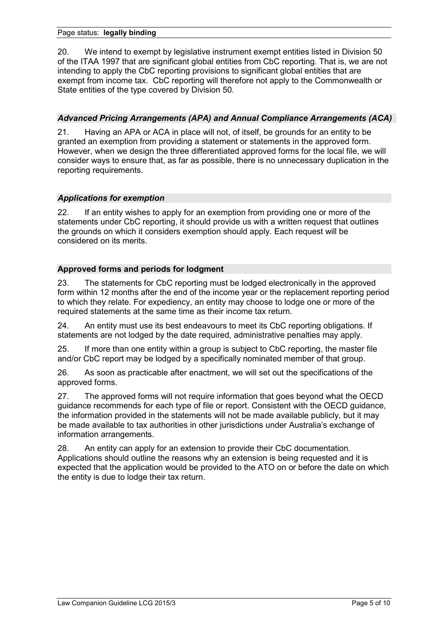#### Page status: **legally binding**

20. We intend to exempt by legislative instrument exempt entities listed in Division 50 of the ITAA 1997 that are significant global entities from CbC reporting. That is, we are not intending to apply the CbC reporting provisions to significant global entities that are exempt from income tax. CbC reporting will therefore not apply to the Commonwealth or State entities of the type covered by Division 50.

# *Advanced Pricing Arrangements (APA) and Annual Compliance Arrangements (ACA)*

21. Having an APA or ACA in place will not, of itself, be grounds for an entity to be granted an exemption from providing a statement or statements in the approved form. However, when we design the three differentiated approved forms for the local file, we will consider ways to ensure that, as far as possible, there is no unnecessary duplication in the reporting requirements.

# *Applications for exemption*

22. If an entity wishes to apply for an exemption from providing one or more of the statements under CbC reporting, it should provide us with a written request that outlines the grounds on which it considers exemption should apply. Each request will be considered on its merits.

# **Approved forms and periods for lodgment**

23. The statements for CbC reporting must be lodged electronically in the approved form within 12 months after the end of the income year or the replacement reporting period to which they relate. For expediency, an entity may choose to lodge one or more of the required statements at the same time as their income tax return.

24. An entity must use its best endeavours to meet its CbC reporting obligations. If statements are not lodged by the date required, administrative penalties may apply.

25. If more than one entity within a group is subject to CbC reporting, the master file and/or CbC report may be lodged by a specifically nominated member of that group.

26. As soon as practicable after enactment, we will set out the specifications of the approved forms.

27. The approved forms will not require information that goes beyond what the OECD guidance recommends for each type of file or report. Consistent with the OECD guidance, the information provided in the statements will not be made available publicly, but it may be made available to tax authorities in other jurisdictions under Australia's exchange of information arrangements.

28. An entity can apply for an extension to provide their CbC documentation. Applications should outline the reasons why an extension is being requested and it is expected that the application would be provided to the ATO on or before the date on which the entity is due to lodge their tax return.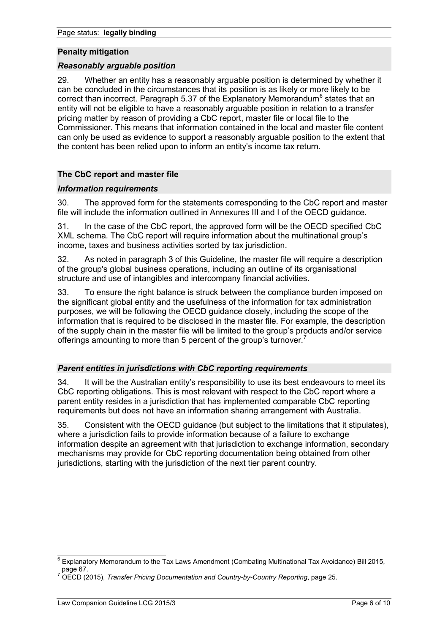#### **Penalty mitigation**

#### *Reasonably arguable position*

29. Whether an entity has a reasonably arguable position is determined by whether it can be concluded in the circumstances that its position is as likely or more likely to be correct than incorrect. Paragraph 5.37 of the Explanatory Memorandum<sup>[6](#page-5-0)</sup> states that an entity will not be eligible to have a reasonably arguable position in relation to a transfer pricing matter by reason of providing a CbC report, master file or local file to the Commissioner. This means that information contained in the local and master file content can only be used as evidence to support a reasonably arguable position to the extent that the content has been relied upon to inform an entity's income tax return.

# **The CbC report and master file**

# *Information requirements*

30. The approved form for the statements corresponding to the CbC report and master file will include the information outlined in Annexures III and I of the OECD guidance.

31. In the case of the CbC report, the approved form will be the OECD specified CbC XML schema. The CbC report will require information about the multinational group's income, taxes and business activities sorted by tax jurisdiction.

32. As noted in paragraph 3 of this Guideline, the master file will require a description of the group's global business operations, including an outline of its organisational structure and use of intangibles and intercompany financial activities.

33. To ensure the right balance is struck between the compliance burden imposed on the significant global entity and the usefulness of the information for tax administration purposes, we will be following the OECD guidance closely, including the scope of the information that is required to be disclosed in the master file. For example, the description of the supply chain in the master file will be limited to the group's products and/or service offerings amounting to more than 5 percent of the group's turnover.

# *Parent entities in jurisdictions with CbC reporting requirements*

34. It will be the Australian entity's responsibility to use its best endeavours to meet its CbC reporting obligations. This is most relevant with respect to the CbC report where a parent entity resides in a jurisdiction that has implemented comparable CbC reporting requirements but does not have an information sharing arrangement with Australia.

35. Consistent with the OECD guidance (but subject to the limitations that it stipulates), where a jurisdiction fails to provide information because of a failure to exchange information despite an agreement with that jurisdiction to exchange information, secondary mechanisms may provide for CbC reporting documentation being obtained from other jurisdictions, starting with the jurisdiction of the next tier parent country.

<span id="page-5-0"></span> $\overline{\phantom{a}}$  Explanatory Memorandum to the Tax Laws Amendment (Combating Multinational Tax Avoidance) Bill 2015, page 67.

<span id="page-5-1"></span><sup>7</sup> OECD (2015), *Transfer Pricing Documentation and Country-by-Country Reporting*, page 25.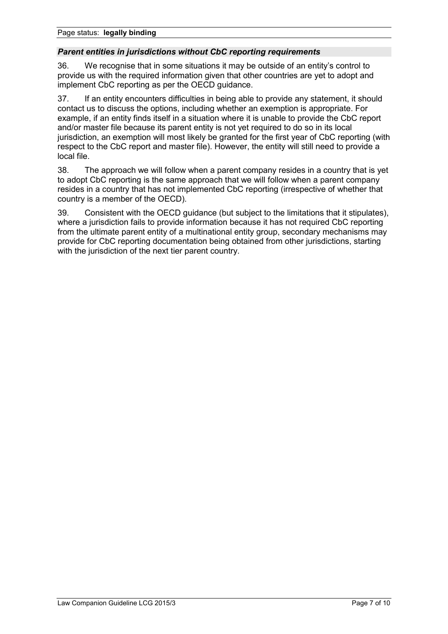# *Parent entities in jurisdictions without CbC reporting requirements*

36. We recognise that in some situations it may be outside of an entity's control to provide us with the required information given that other countries are yet to adopt and implement CbC reporting as per the OECD guidance.

37. If an entity encounters difficulties in being able to provide any statement, it should contact us to discuss the options, including whether an exemption is appropriate. For example, if an entity finds itself in a situation where it is unable to provide the CbC report and/or master file because its parent entity is not yet required to do so in its local jurisdiction, an exemption will most likely be granted for the first year of CbC reporting (with respect to the CbC report and master file). However, the entity will still need to provide a local file.

38. The approach we will follow when a parent company resides in a country that is yet to adopt CbC reporting is the same approach that we will follow when a parent company resides in a country that has not implemented CbC reporting (irrespective of whether that country is a member of the OECD).

39. Consistent with the OECD guidance (but subject to the limitations that it stipulates), where a jurisdiction fails to provide information because it has not required CbC reporting from the ultimate parent entity of a multinational entity group, secondary mechanisms may provide for CbC reporting documentation being obtained from other jurisdictions, starting with the jurisdiction of the next tier parent country.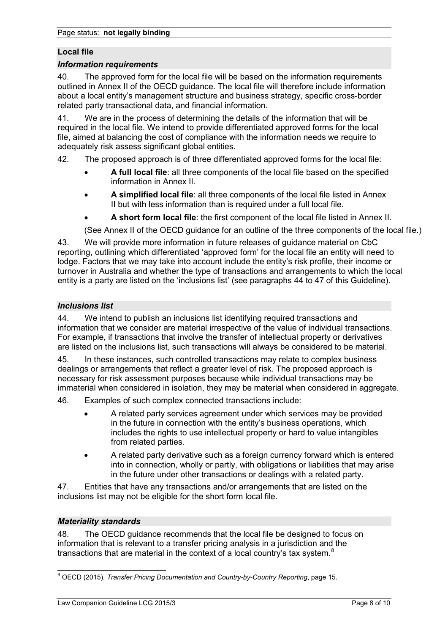# **Local file**

#### *Information requirements*

40. The approved form for the local file will be based on the information requirements outlined in Annex II of the OECD guidance. The local file will therefore include information about a local entity's management structure and business strategy, specific cross-border related party transactional data, and financial information.

41. We are in the process of determining the details of the information that will be required in the local file. We intend to provide differentiated approved forms for the local file, aimed at balancing the cost of compliance with the information needs we require to adequately risk assess significant global entities.

42. The proposed approach is of three differentiated approved forms for the local file:

- **A full local file**: all three components of the local file based on the specified information in Annex II.
- **A simplified local file**: all three components of the local file listed in Annex II but with less information than is required under a full local file.
- **A short form local file**: the first component of the local file listed in Annex II.

(See Annex II of the OECD guidance for an outline of the three components of the local file.)

43. We will provide more information in future releases of guidance material on CbC reporting, outlining which differentiated 'approved form' for the local file an entity will need to lodge. Factors that we may take into account include the entity's risk profile, their income or turnover in Australia and whether the type of transactions and arrangements to which the local entity is a party are listed on the 'inclusions list' (see paragraphs 44 to 47 of this Guideline).

# *Inclusions list*

44. We intend to publish an inclusions list identifying required transactions and information that we consider are material irrespective of the value of individual transactions. For example, if transactions that involve the transfer of intellectual property or derivatives are listed on the inclusions list, such transactions will always be considered to be material.

45. In these instances, such controlled transactions may relate to complex business dealings or arrangements that reflect a greater level of risk. The proposed approach is necessary for risk assessment purposes because while individual transactions may be immaterial when considered in isolation, they may be material when considered in aggregate.

46. Examples of such complex connected transactions include:

- A related party services agreement under which services may be provided in the future in connection with the entity's business operations, which includes the rights to use intellectual property or hard to value intangibles from related parties.
- A related party derivative such as a foreign currency forward which is entered into in connection, wholly or partly, with obligations or liabilities that may arise in the future under other transactions or dealings with a related party.

47. Entities that have any transactions and/or arrangements that are listed on the inclusions list may not be eligible for the short form local file.

# *Materiality standards*

48. The OECD guidance recommends that the local file be designed to focus on information that is relevant to a transfer pricing analysis in a jurisdiction and the transactions that are material in the context of a local country's tax system.<sup>[8](#page-7-0)</sup>

<span id="page-7-0"></span><sup>8</sup> OECD (2015), *Transfer Pricing Documentation and Country-by-Country Reporting*, page 15.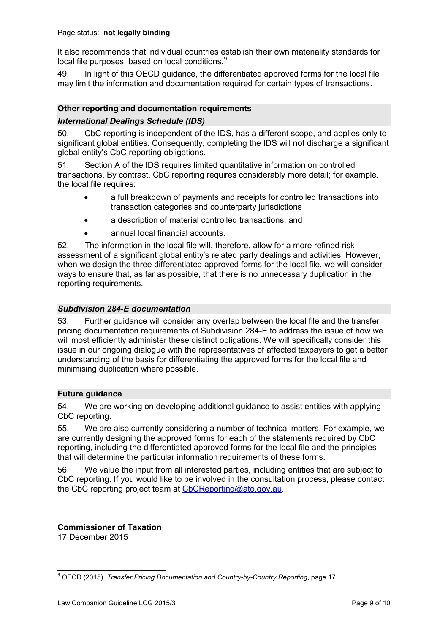It also recommends that individual countries establish their own materiality standards for local file purposes, based on local conditions.<sup>[9](#page-8-0)</sup>

49. In light of this OECD guidance, the differentiated approved forms for the local file may limit the information and documentation required for certain types of transactions.

# **Other reporting and documentation requirements**

# *International Dealings Schedule (IDS)*

50. CbC reporting is independent of the IDS, has a different scope, and applies only to significant global entities. Consequently, completing the IDS will not discharge a significant global entity's CbC reporting obligations.

51. Section A of the IDS requires limited quantitative information on controlled transactions. By contrast, CbC reporting requires considerably more detail; for example, the local file requires:

- a full breakdown of payments and receipts for controlled transactions into transaction categories and counterparty jurisdictions
- a description of material controlled transactions, and
- annual local financial accounts.

52. The information in the local file will, therefore, allow for a more refined risk assessment of a significant global entity's related party dealings and activities. However, when we design the three differentiated approved forms for the local file, we will consider ways to ensure that, as far as possible, that there is no unnecessary duplication in the reporting requirements.

# *Subdivision 284-E documentation*

53. Further guidance will consider any overlap between the local file and the transfer pricing documentation requirements of Subdivision 284-E to address the issue of how we will most efficiently administer these distinct obligations. We will specifically consider this issue in our ongoing dialogue with the representatives of affected taxpayers to get a better understanding of the basis for differentiating the approved forms for the local file and minimising duplication where possible.

# **Future guidance**

54. We are working on developing additional guidance to assist entities with applying CbC reporting.

55. We are also currently considering a number of technical matters. For example, we are currently designing the approved forms for each of the statements required by CbC reporting, including the differentiated approved forms for the local file and the principles that will determine the particular information requirements of these forms.

56. We value the input from all interested parties, including entities that are subject to CbC reporting. If you would like to be involved in the consultation process, please contact the CbC reporting project team at [CbCReporting@ato.gov.au.](mailto:CbCReporting@ato.gov.au)

#### **Commissioner of Taxation** 17 December 2015

<span id="page-8-0"></span><sup>9</sup> OECD (2015), *Transfer Pricing Documentation and Country-by-Country Reporting*, page 17.